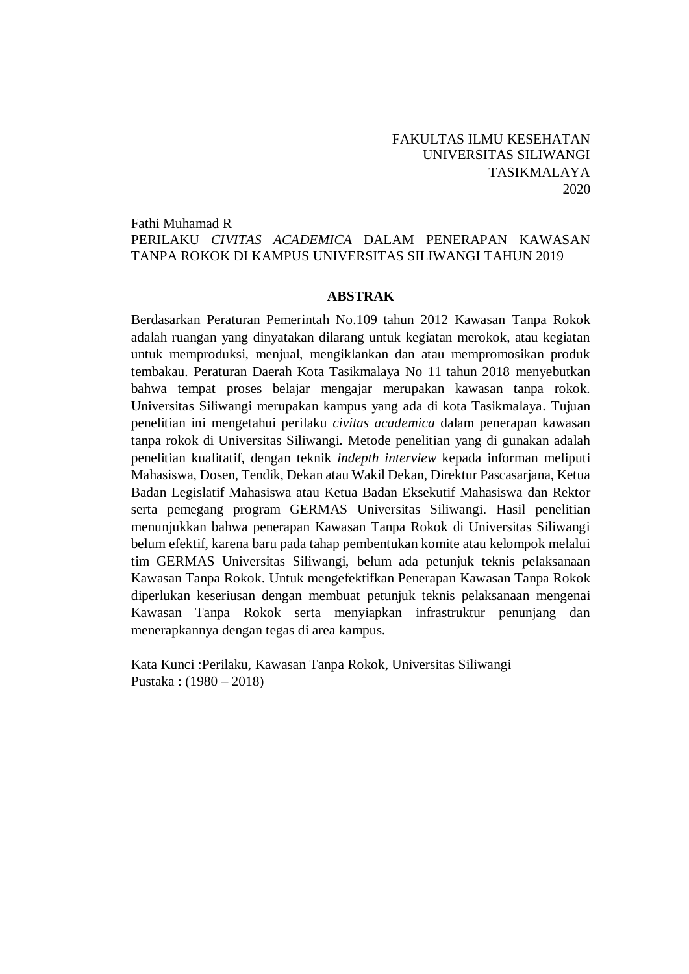## FAKULTAS ILMU KESEHATAN UNIVERSITAS SILIWANGI TASIKMALAYA 2020

### Fathi Muhamad R PERILAKU *CIVITAS ACADEMICA* DALAM PENERAPAN KAWASAN TANPA ROKOK DI KAMPUS UNIVERSITAS SILIWANGI TAHUN 2019

#### **ABSTRAK**

Berdasarkan Peraturan Pemerintah No.109 tahun 2012 Kawasan Tanpa Rokok adalah ruangan yang dinyatakan dilarang untuk kegiatan merokok, atau kegiatan untuk memproduksi, menjual, mengiklankan dan atau mempromosikan produk tembakau. Peraturan Daerah Kota Tasikmalaya No 11 tahun 2018 menyebutkan bahwa tempat proses belajar mengajar merupakan kawasan tanpa rokok. Universitas Siliwangi merupakan kampus yang ada di kota Tasikmalaya. Tujuan penelitian ini mengetahui perilaku *civitas academica* dalam penerapan kawasan tanpa rokok di Universitas Siliwangi. Metode penelitian yang di gunakan adalah penelitian kualitatif, dengan teknik *indepth interview* kepada informan meliputi Mahasiswa, Dosen, Tendik, Dekan atau Wakil Dekan, Direktur Pascasarjana, Ketua Badan Legislatif Mahasiswa atau Ketua Badan Eksekutif Mahasiswa dan Rektor serta pemegang program GERMAS Universitas Siliwangi. Hasil penelitian menunjukkan bahwa penerapan Kawasan Tanpa Rokok di Universitas Siliwangi belum efektif, karena baru pada tahap pembentukan komite atau kelompok melalui tim GERMAS Universitas Siliwangi, belum ada petunjuk teknis pelaksanaan Kawasan Tanpa Rokok. Untuk mengefektifkan Penerapan Kawasan Tanpa Rokok diperlukan keseriusan dengan membuat petunjuk teknis pelaksanaan mengenai Kawasan Tanpa Rokok serta menyiapkan infrastruktur penunjang dan menerapkannya dengan tegas di area kampus.

Kata Kunci :Perilaku, Kawasan Tanpa Rokok, Universitas Siliwangi Pustaka : (1980 – 2018)